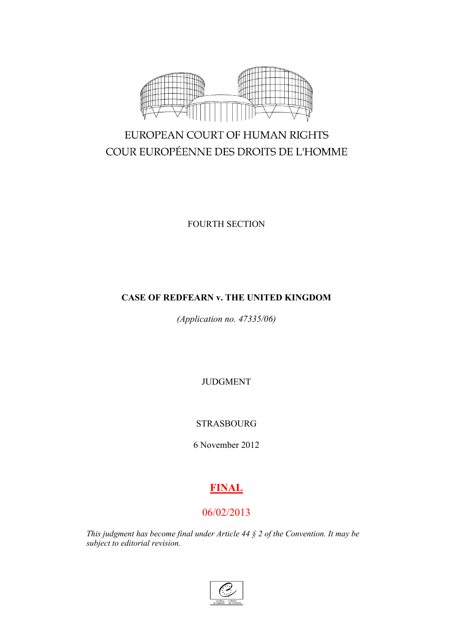

# EUROPEAN COURT OF HUMAN RIGHTS COUR EUROPÉENNE DES DROITS DE L'HOMME

FOURTH SECTION

## **CASE OF REDFEARN v. THE UNITED KINGDOM**

*(Application no. 47335/06)*

JUDGMENT

STRASBOURG

6 November 2012

# **FINAL**

## 06/02/2013

*This judgment has become final under Article 44 § 2 of the Convention. It may be subject to editorial revision.*

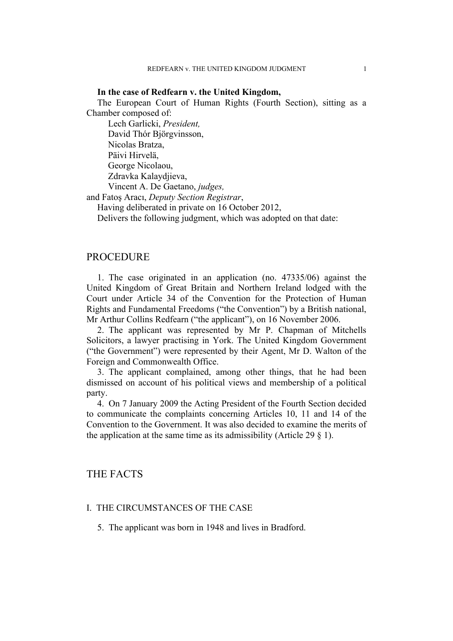#### **In the case of Redfearn v. the United Kingdom,**

The European Court of Human Rights (Fourth Section), sitting as a Chamber composed of:

Lech Garlicki, *President,* David Thór Björgvinsson, Nicolas Bratza, Päivi Hirvelä, George Nicolaou, Zdravka Kalaydjieva, Vincent A. De Gaetano, *judges,*

and Fatoş Aracı, *Deputy Section Registrar*,

Having deliberated in private on 16 October 2012,

Delivers the following judgment, which was adopted on that date:

#### **PROCEDURE**

1. The case originated in an application (no. 47335/06) against the United Kingdom of Great Britain and Northern Ireland lodged with the Court under Article 34 of the Convention for the Protection of Human Rights and Fundamental Freedoms ("the Convention") by a British national, Mr Arthur Collins Redfearn ("the applicant"), on 16 November 2006.

2. The applicant was represented by Mr P. Chapman of Mitchells Solicitors, a lawyer practising in York. The United Kingdom Government ("the Government") were represented by their Agent, Mr D. Walton of the Foreign and Commonwealth Office.

3. The applicant complained, among other things, that he had been dismissed on account of his political views and membership of a political party.

4. On 7 January 2009 the Acting President of the Fourth Section decided to communicate the complaints concerning Articles 10, 11 and 14 of the Convention to the Government. It was also decided to examine the merits of the application at the same time as its admissibility (Article 29  $\S$  1).

## THE FACTS

#### I. THE CIRCUMSTANCES OF THE CASE

5. The applicant was born in 1948 and lives in Bradford.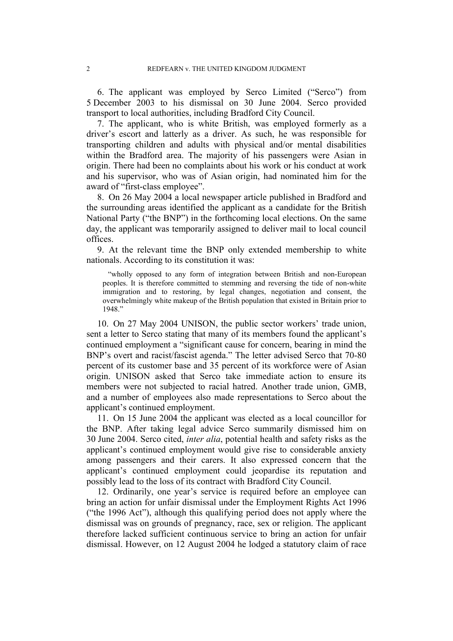6. The applicant was employed by Serco Limited ("Serco") from 5 December 2003 to his dismissal on 30 June 2004. Serco provided transport to local authorities, including Bradford City Council.

7. The applicant, who is white British, was employed formerly as a driver's escort and latterly as a driver. As such, he was responsible for transporting children and adults with physical and/or mental disabilities within the Bradford area. The majority of his passengers were Asian in origin. There had been no complaints about his work or his conduct at work and his supervisor, who was of Asian origin, had nominated him for the award of "first-class employee".

8. On 26 May 2004 a local newspaper article published in Bradford and the surrounding areas identified the applicant as a candidate for the British National Party ("the BNP") in the forthcoming local elections. On the same day, the applicant was temporarily assigned to deliver mail to local council offices.

9. At the relevant time the BNP only extended membership to white nationals. According to its constitution it was:

"wholly opposed to any form of integration between British and non-European peoples. It is therefore committed to stemming and reversing the tide of non-white immigration and to restoring, by legal changes, negotiation and consent, the overwhelmingly white makeup of the British population that existed in Britain prior to 1948."

10. On 27 May 2004 UNISON, the public sector workers' trade union, sent a letter to Serco stating that many of its members found the applicant's continued employment a "significant cause for concern, bearing in mind the BNP's overt and racist/fascist agenda." The letter advised Serco that 70-80 percent of its customer base and 35 percent of its workforce were of Asian origin. UNISON asked that Serco take immediate action to ensure its members were not subjected to racial hatred. Another trade union, GMB, and a number of employees also made representations to Serco about the applicant's continued employment.

11. On 15 June 2004 the applicant was elected as a local councillor for the BNP. After taking legal advice Serco summarily dismissed him on 30 June 2004. Serco cited, *inter alia*, potential health and safety risks as the applicant's continued employment would give rise to considerable anxiety among passengers and their carers. It also expressed concern that the applicant's continued employment could jeopardise its reputation and possibly lead to the loss of its contract with Bradford City Council.

12. Ordinarily, one year's service is required before an employee can bring an action for unfair dismissal under the Employment Rights Act 1996 ("the 1996 Act"), although this qualifying period does not apply where the dismissal was on grounds of pregnancy, race, sex or religion. The applicant therefore lacked sufficient continuous service to bring an action for unfair dismissal. However, on 12 August 2004 he lodged a statutory claim of race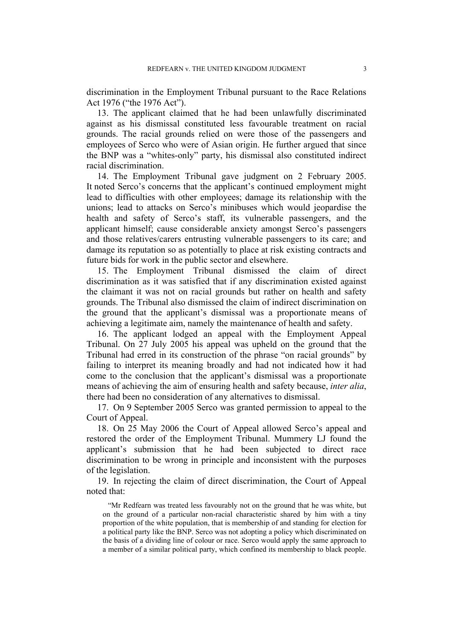discrimination in the Employment Tribunal pursuant to the Race Relations Act 1976 ("the 1976 Act").

13. The applicant claimed that he had been unlawfully discriminated against as his dismissal constituted less favourable treatment on racial grounds. The racial grounds relied on were those of the passengers and employees of Serco who were of Asian origin. He further argued that since the BNP was a "whites-only" party, his dismissal also constituted indirect racial discrimination.

14. The Employment Tribunal gave judgment on 2 February 2005. It noted Serco's concerns that the applicant's continued employment might lead to difficulties with other employees; damage its relationship with the unions; lead to attacks on Serco's minibuses which would jeopardise the health and safety of Serco's staff, its vulnerable passengers, and the applicant himself; cause considerable anxiety amongst Serco's passengers and those relatives/carers entrusting vulnerable passengers to its care; and damage its reputation so as potentially to place at risk existing contracts and future bids for work in the public sector and elsewhere.

15. The Employment Tribunal dismissed the claim of direct discrimination as it was satisfied that if any discrimination existed against the claimant it was not on racial grounds but rather on health and safety grounds. The Tribunal also dismissed the claim of indirect discrimination on the ground that the applicant's dismissal was a proportionate means of achieving a legitimate aim, namely the maintenance of health and safety.

16. The applicant lodged an appeal with the Employment Appeal Tribunal. On 27 July 2005 his appeal was upheld on the ground that the Tribunal had erred in its construction of the phrase "on racial grounds" by failing to interpret its meaning broadly and had not indicated how it had come to the conclusion that the applicant's dismissal was a proportionate means of achieving the aim of ensuring health and safety because, *inter alia*, there had been no consideration of any alternatives to dismissal.

17. On 9 September 2005 Serco was granted permission to appeal to the Court of Appeal.

18. On 25 May 2006 the Court of Appeal allowed Serco's appeal and restored the order of the Employment Tribunal. Mummery LJ found the applicant's submission that he had been subjected to direct race discrimination to be wrong in principle and inconsistent with the purposes of the legislation.

19. In rejecting the claim of direct discrimination, the Court of Appeal noted that:

"Mr Redfearn was treated less favourably not on the ground that he was white, but on the ground of a particular non-racial characteristic shared by him with a tiny proportion of the white population, that is membership of and standing for election for a political party like the BNP. Serco was not adopting a policy which discriminated on the basis of a dividing line of colour or race. Serco would apply the same approach to a member of a similar political party, which confined its membership to black people.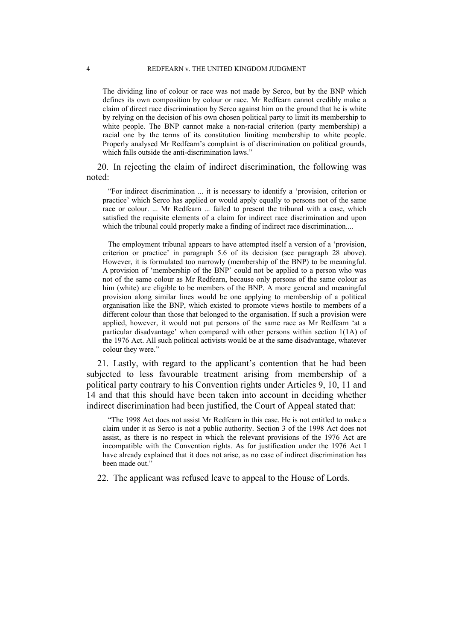The dividing line of colour or race was not made by Serco, but by the BNP which defines its own composition by colour or race. Mr Redfearn cannot credibly make a claim of direct race discrimination by Serco against him on the ground that he is white by relying on the decision of his own chosen political party to limit its membership to white people. The BNP cannot make a non-racial criterion (party membership) a racial one by the terms of its constitution limiting membership to white people. Properly analysed Mr Redfearn's complaint is of discrimination on political grounds, which falls outside the anti-discrimination laws."

20. In rejecting the claim of indirect discrimination, the following was noted:

"For indirect discrimination ... it is necessary to identify a 'provision, criterion or practice' which Serco has applied or would apply equally to persons not of the same race or colour. ... Mr Redfearn ... failed to present the tribunal with a case, which satisfied the requisite elements of a claim for indirect race discrimination and upon which the tribunal could properly make a finding of indirect race discrimination....

The employment tribunal appears to have attempted itself a version of a 'provision, criterion or practice' in paragraph 5.6 of its decision (see paragraph 28 above). However, it is formulated too narrowly (membership of the BNP) to be meaningful. A provision of 'membership of the BNP' could not be applied to a person who was not of the same colour as Mr Redfearn, because only persons of the same colour as him (white) are eligible to be members of the BNP. A more general and meaningful provision along similar lines would be one applying to membership of a political organisation like the BNP, which existed to promote views hostile to members of a different colour than those that belonged to the organisation. If such a provision were applied, however, it would not put persons of the same race as Mr Redfearn 'at a particular disadvantage' when compared with other persons within section 1(1A) of the 1976 Act. All such political activists would be at the same disadvantage, whatever colour they were."

21. Lastly, with regard to the applicant's contention that he had been subjected to less favourable treatment arising from membership of a political party contrary to his Convention rights under Articles 9, 10, 11 and 14 and that this should have been taken into account in deciding whether indirect discrimination had been justified, the Court of Appeal stated that:

"The 1998 Act does not assist Mr Redfearn in this case. He is not entitled to make a claim under it as Serco is not a public authority. Section 3 of the 1998 Act does not assist, as there is no respect in which the relevant provisions of the 1976 Act are incompatible with the Convention rights. As for justification under the 1976 Act I have already explained that it does not arise, as no case of indirect discrimination has been made out."

22. The applicant was refused leave to appeal to the House of Lords.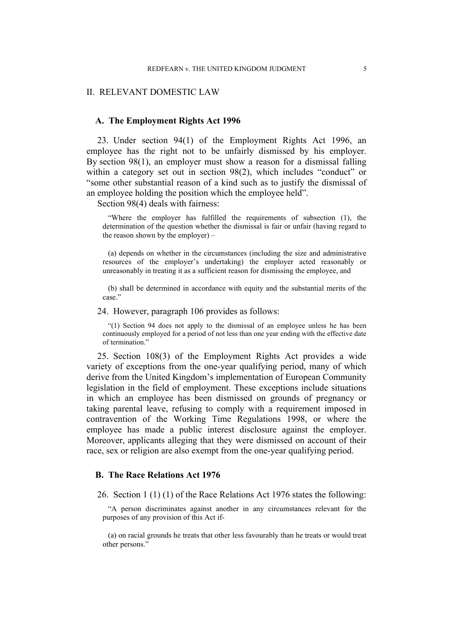#### II. RELEVANT DOMESTIC LAW

#### **A. The Employment Rights Act 1996**

23. Under section 94(1) of the Employment Rights Act 1996, an employee has the right not to be unfairly dismissed by his employer. By section 98(1), an employer must show a reason for a dismissal falling within a category set out in section 98(2), which includes "conduct" or "some other substantial reason of a kind such as to justify the dismissal of an employee holding the position which the employee held".

Section 98(4) deals with fairness:

"Where the employer has fulfilled the requirements of subsection (1), the determination of the question whether the dismissal is fair or unfair (having regard to the reason shown by the employer) –

(a) depends on whether in the circumstances (including the size and administrative resources of the employer's undertaking) the employer acted reasonably or unreasonably in treating it as a sufficient reason for dismissing the employee, and

(b) shall be determined in accordance with equity and the substantial merits of the case."

24. However, paragraph 106 provides as follows:

"(1) Section 94 does not apply to the dismissal of an employee unless he has been continuously employed for a period of not less than one year ending with the effective date of termination."

25. Section 108(3) of the Employment Rights Act provides a wide variety of exceptions from the one-year qualifying period, many of which derive from the United Kingdom's implementation of European Community legislation in the field of employment. These exceptions include situations in which an employee has been dismissed on grounds of pregnancy or taking parental leave, refusing to comply with a requirement imposed in contravention of the Working Time Regulations 1998, or where the employee has made a public interest disclosure against the employer. Moreover, applicants alleging that they were dismissed on account of their race, sex or religion are also exempt from the one-year qualifying period.

#### **B. The Race Relations Act 1976**

26. Section 1 (1) (1) of the Race Relations Act 1976 states the following:

"A person discriminates against another in any circumstances relevant for the purposes of any provision of this Act if-

(a) on racial grounds he treats that other less favourably than he treats or would treat other persons."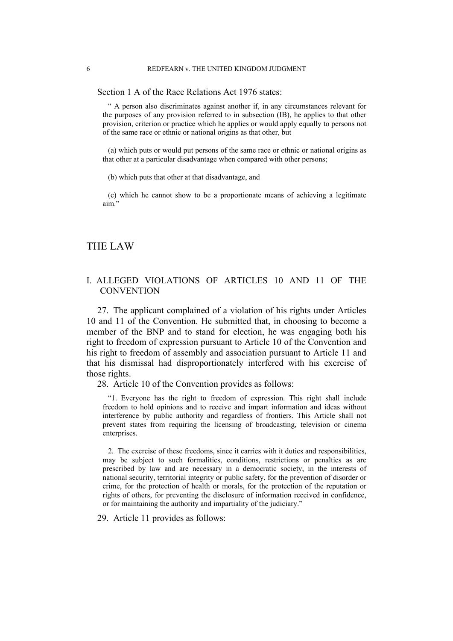Section 1 A of the Race Relations Act 1976 states:

" A person also discriminates against another if, in any circumstances relevant for the purposes of any provision referred to in subsection (IB), he applies to that other provision, criterion or practice which he applies or would apply equally to persons not of the same race or ethnic or national origins as that other, but

(a) which puts or would put persons of the same race or ethnic or national origins as that other at a particular disadvantage when compared with other persons;

(b) which puts that other at that disadvantage, and

(c) which he cannot show to be a proportionate means of achieving a legitimate aim."

## THE LAW

#### I. ALLEGED VIOLATIONS OF ARTICLES 10 AND 11 OF THE **CONVENTION**

27. The applicant complained of a violation of his rights under Articles 10 and 11 of the Convention. He submitted that, in choosing to become a member of the BNP and to stand for election, he was engaging both his right to freedom of expression pursuant to Article 10 of the Convention and his right to freedom of assembly and association pursuant to Article 11 and that his dismissal had disproportionately interfered with his exercise of those rights.

28. Article 10 of the Convention provides as follows:

"1. Everyone has the right to freedom of expression. This right shall include freedom to hold opinions and to receive and impart information and ideas without interference by public authority and regardless of frontiers. This Article shall not prevent states from requiring the licensing of broadcasting, television or cinema enterprises.

2. The exercise of these freedoms, since it carries with it duties and responsibilities, may be subject to such formalities, conditions, restrictions or penalties as are prescribed by law and are necessary in a democratic society, in the interests of national security, territorial integrity or public safety, for the prevention of disorder or crime, for the protection of health or morals, for the protection of the reputation or rights of others, for preventing the disclosure of information received in confidence, or for maintaining the authority and impartiality of the judiciary."

29. Article 11 provides as follows: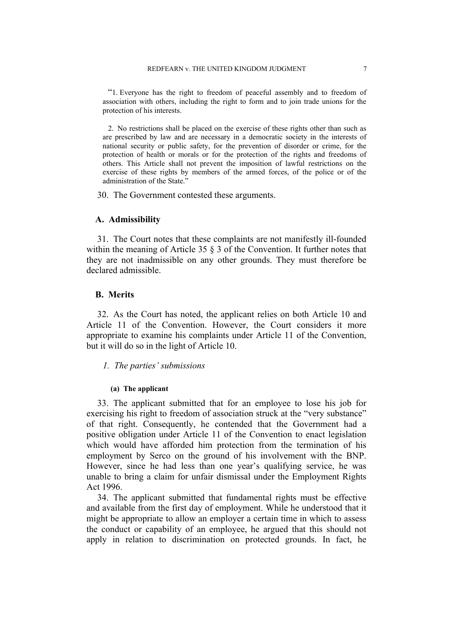"1. Everyone has the right to freedom of peaceful assembly and to freedom of association with others, including the right to form and to join trade unions for the protection of his interests.

2. No restrictions shall be placed on the exercise of these rights other than such as are prescribed by law and are necessary in a democratic society in the interests of national security or public safety, for the prevention of disorder or crime, for the protection of health or morals or for the protection of the rights and freedoms of others. This Article shall not prevent the imposition of lawful restrictions on the exercise of these rights by members of the armed forces, of the police or of the administration of the State."

30. The Government contested these arguments.

#### **A. Admissibility**

31. The Court notes that these complaints are not manifestly ill-founded within the meaning of Article 35  $\delta$  3 of the Convention. It further notes that they are not inadmissible on any other grounds. They must therefore be declared admissible.

#### **B. Merits**

32. As the Court has noted, the applicant relies on both Article 10 and Article 11 of the Convention. However, the Court considers it more appropriate to examine his complaints under Article 11 of the Convention, but it will do so in the light of Article 10.

*1. The parties' submissions*

#### **(a) The applicant**

33. The applicant submitted that for an employee to lose his job for exercising his right to freedom of association struck at the "very substance" of that right. Consequently, he contended that the Government had a positive obligation under Article 11 of the Convention to enact legislation which would have afforded him protection from the termination of his employment by Serco on the ground of his involvement with the BNP. However, since he had less than one year's qualifying service, he was unable to bring a claim for unfair dismissal under the Employment Rights Act 1996.

34. The applicant submitted that fundamental rights must be effective and available from the first day of employment. While he understood that it might be appropriate to allow an employer a certain time in which to assess the conduct or capability of an employee, he argued that this should not apply in relation to discrimination on protected grounds. In fact, he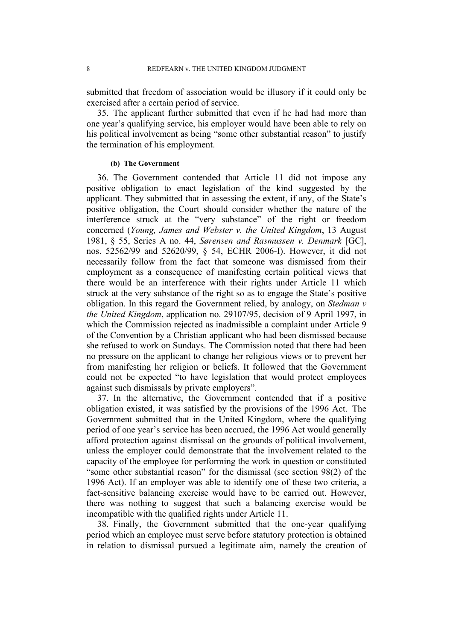submitted that freedom of association would be illusory if it could only be exercised after a certain period of service.

35. The applicant further submitted that even if he had had more than one year's qualifying service, his employer would have been able to rely on his political involvement as being "some other substantial reason" to justify the termination of his employment.

### **(b) The Government**

36. The Government contended that Article 11 did not impose any positive obligation to enact legislation of the kind suggested by the applicant. They submitted that in assessing the extent, if any, of the State's positive obligation, the Court should consider whether the nature of the interference struck at the "very substance" of the right or freedom concerned (*Young, James and Webster v. the United Kingdom*, 13 August 1981, § 55, Series A no. 44, *Sørensen and Rasmussen v. Denmark* [GC], nos. 52562/99 and 52620/99, § 54, ECHR 2006-I). However, it did not necessarily follow from the fact that someone was dismissed from their employment as a consequence of manifesting certain political views that there would be an interference with their rights under Article 11 which struck at the very substance of the right so as to engage the State's positive obligation. In this regard the Government relied, by analogy, on *Stedman v the United Kingdom*, application no. 29107/95, decision of 9 April 1997, in which the Commission rejected as inadmissible a complaint under Article 9 of the Convention by a Christian applicant who had been dismissed because she refused to work on Sundays. The Commission noted that there had been no pressure on the applicant to change her religious views or to prevent her from manifesting her religion or beliefs. It followed that the Government could not be expected "to have legislation that would protect employees against such dismissals by private employers".

37. In the alternative, the Government contended that if a positive obligation existed, it was satisfied by the provisions of the 1996 Act. The Government submitted that in the United Kingdom, where the qualifying period of one year's service has been accrued, the 1996 Act would generally afford protection against dismissal on the grounds of political involvement, unless the employer could demonstrate that the involvement related to the capacity of the employee for performing the work in question or constituted "some other substantial reason" for the dismissal (see section 98(2) of the 1996 Act). If an employer was able to identify one of these two criteria, a fact-sensitive balancing exercise would have to be carried out. However, there was nothing to suggest that such a balancing exercise would be incompatible with the qualified rights under Article 11.

38. Finally, the Government submitted that the one-year qualifying period which an employee must serve before statutory protection is obtained in relation to dismissal pursued a legitimate aim, namely the creation of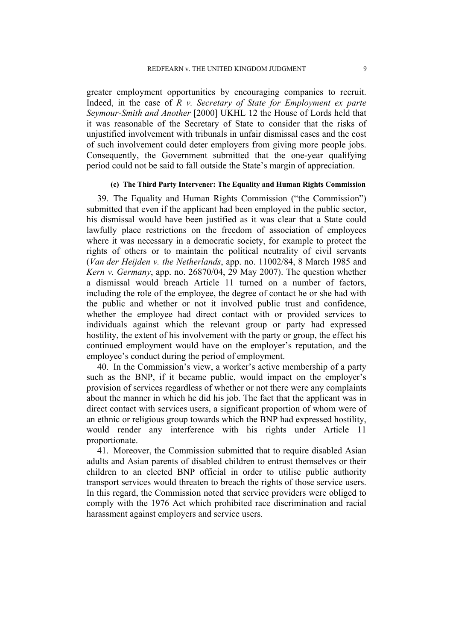greater employment opportunities by encouraging companies to recruit. Indeed, in the case of *R v. Secretary of State for Employment ex parte Seymour-Smith and Another* [2000] UKHL 12 the House of Lords held that it was reasonable of the Secretary of State to consider that the risks of unjustified involvement with tribunals in unfair dismissal cases and the cost of such involvement could deter employers from giving more people jobs. Consequently, the Government submitted that the one-year qualifying period could not be said to fall outside the State's margin of appreciation.

#### **(c) The Third Party Intervener: The Equality and Human Rights Commission**

39. The Equality and Human Rights Commission ("the Commission") submitted that even if the applicant had been employed in the public sector, his dismissal would have been justified as it was clear that a State could lawfully place restrictions on the freedom of association of employees where it was necessary in a democratic society, for example to protect the rights of others or to maintain the political neutrality of civil servants (*Van der Heijden v. the Netherlands*, app. no. 11002/84, 8 March 1985 and *Kern v. Germany*, app. no. 26870/04, 29 May 2007). The question whether a dismissal would breach Article 11 turned on a number of factors, including the role of the employee, the degree of contact he or she had with the public and whether or not it involved public trust and confidence, whether the employee had direct contact with or provided services to individuals against which the relevant group or party had expressed hostility, the extent of his involvement with the party or group, the effect his continued employment would have on the employer's reputation, and the employee's conduct during the period of employment.

40. In the Commission's view, a worker's active membership of a party such as the BNP, if it became public, would impact on the employer's provision of services regardless of whether or not there were any complaints about the manner in which he did his job. The fact that the applicant was in direct contact with services users, a significant proportion of whom were of an ethnic or religious group towards which the BNP had expressed hostility, would render any interference with his rights under Article 11 proportionate.

41. Moreover, the Commission submitted that to require disabled Asian adults and Asian parents of disabled children to entrust themselves or their children to an elected BNP official in order to utilise public authority transport services would threaten to breach the rights of those service users. In this regard, the Commission noted that service providers were obliged to comply with the 1976 Act which prohibited race discrimination and racial harassment against employers and service users.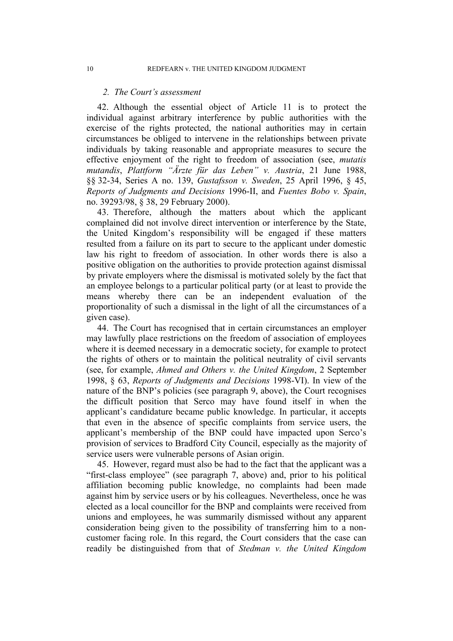#### *2. The Court's assessment*

42. Although the essential object of Article 11 is to protect the individual against arbitrary interference by public authorities with the exercise of the rights protected, the national authorities may in certain circumstances be obliged to intervene in the relationships between private individuals by taking reasonable and appropriate measures to secure the effective enjoyment of the right to freedom of association (see, *mutatis mutandis*, *Plattform "Ärzte für das Leben" v. Austria*, 21 June 1988, §§ 32-34, Series A no. 139, *Gustafsson v. Sweden*, 25 April 1996, § 45, *Reports of Judgments and Decisions* 1996-II, and *Fuentes Bobo v. Spain*, no. 39293/98, § 38, 29 February 2000).

43. Therefore, although the matters about which the applicant complained did not involve direct intervention or interference by the State, the United Kingdom's responsibility will be engaged if these matters resulted from a failure on its part to secure to the applicant under domestic law his right to freedom of association. In other words there is also a positive obligation on the authorities to provide protection against dismissal by private employers where the dismissal is motivated solely by the fact that an employee belongs to a particular political party (or at least to provide the means whereby there can be an independent evaluation of the proportionality of such a dismissal in the light of all the circumstances of a given case).

44. The Court has recognised that in certain circumstances an employer may lawfully place restrictions on the freedom of association of employees where it is deemed necessary in a democratic society, for example to protect the rights of others or to maintain the political neutrality of civil servants (see, for example, *Ahmed and Others v. the United Kingdom*, 2 September 1998, § 63, *Reports of Judgments and Decisions* 1998-VI). In view of the nature of the BNP's policies (see paragraph 9, above), the Court recognises the difficult position that Serco may have found itself in when the applicant's candidature became public knowledge. In particular, it accepts that even in the absence of specific complaints from service users, the applicant's membership of the BNP could have impacted upon Serco's provision of services to Bradford City Council, especially as the majority of service users were vulnerable persons of Asian origin.

45. However, regard must also be had to the fact that the applicant was a "first-class employee" (see paragraph 7, above) and, prior to his political affiliation becoming public knowledge, no complaints had been made against him by service users or by his colleagues. Nevertheless, once he was elected as a local councillor for the BNP and complaints were received from unions and employees, he was summarily dismissed without any apparent consideration being given to the possibility of transferring him to a noncustomer facing role. In this regard, the Court considers that the case can readily be distinguished from that of *Stedman v. the United Kingdom*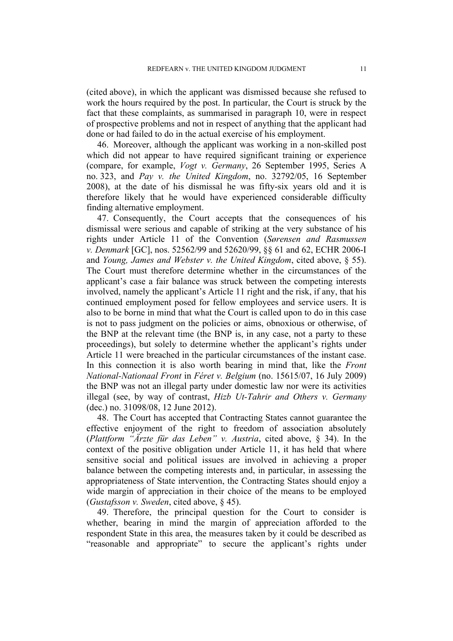(cited above), in which the applicant was dismissed because she refused to work the hours required by the post. In particular, the Court is struck by the fact that these complaints, as summarised in paragraph 10, were in respect of prospective problems and not in respect of anything that the applicant had done or had failed to do in the actual exercise of his employment.

46. Moreover, although the applicant was working in a non-skilled post which did not appear to have required significant training or experience (compare, for example, *Vogt v. Germany*, 26 September 1995, Series A no. 323, and *Pay v. the United Kingdom*, no. 32792/05, 16 September 2008), at the date of his dismissal he was fifty-six years old and it is therefore likely that he would have experienced considerable difficulty finding alternative employment.

47. Consequently, the Court accepts that the consequences of his dismissal were serious and capable of striking at the very substance of his rights under Article 11 of the Convention (*Sørensen and Rasmussen v. Denmark* [GC], nos. 52562/99 and 52620/99, §§ 61 and 62, ECHR 2006-I and *Young, James and Webster v. the United Kingdom*, cited above, § 55). The Court must therefore determine whether in the circumstances of the applicant's case a fair balance was struck between the competing interests involved, namely the applicant's Article 11 right and the risk, if any, that his continued employment posed for fellow employees and service users. It is also to be borne in mind that what the Court is called upon to do in this case is not to pass judgment on the policies or aims, obnoxious or otherwise, of the BNP at the relevant time (the BNP is, in any case, not a party to these proceedings), but solely to determine whether the applicant's rights under Article 11 were breached in the particular circumstances of the instant case. In this connection it is also worth bearing in mind that, like the *Front National-Nationaal Front* in *Féret v. Belgium* (no. 15615/07, 16 July 2009) the BNP was not an illegal party under domestic law nor were its activities illegal (see, by way of contrast, *Hizb Ut-Tahrir and Others v. Germany*  (dec.) no. 31098/08, 12 June 2012).

48. The Court has accepted that Contracting States cannot guarantee the effective enjoyment of the right to freedom of association absolutely (*Plattform "Ärzte für das Leben" v. Austria*, cited above, § 34). In the context of the positive obligation under Article 11, it has held that where sensitive social and political issues are involved in achieving a proper balance between the competing interests and, in particular, in assessing the appropriateness of State intervention, the Contracting States should enjoy a wide margin of appreciation in their choice of the means to be employed (*Gustafsson v. Sweden*, cited above, § 45).

49. Therefore, the principal question for the Court to consider is whether, bearing in mind the margin of appreciation afforded to the respondent State in this area, the measures taken by it could be described as "reasonable and appropriate" to secure the applicant's rights under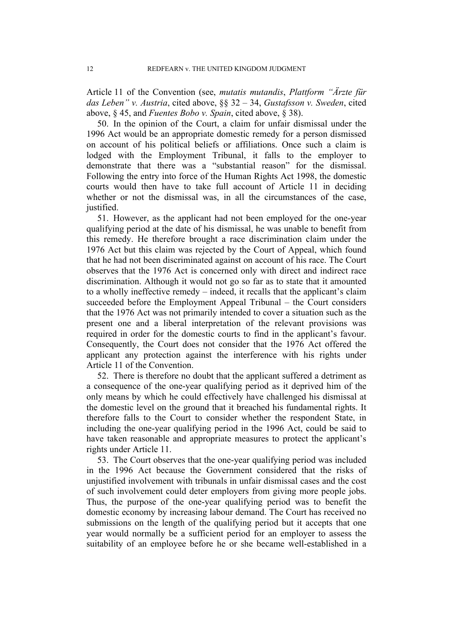Article 11 of the Convention (see, *mutatis mutandis*, *Plattform "Ärzte für das Leben" v. Austria*, cited above, §§ 32 – 34, *Gustafsson v. Sweden*, cited above, § 45, and *Fuentes Bobo v. Spain*, cited above, § 38).

50. In the opinion of the Court, a claim for unfair dismissal under the 1996 Act would be an appropriate domestic remedy for a person dismissed on account of his political beliefs or affiliations. Once such a claim is lodged with the Employment Tribunal, it falls to the employer to demonstrate that there was a "substantial reason" for the dismissal. Following the entry into force of the Human Rights Act 1998, the domestic courts would then have to take full account of Article 11 in deciding whether or not the dismissal was, in all the circumstances of the case, justified.

51. However, as the applicant had not been employed for the one-year qualifying period at the date of his dismissal, he was unable to benefit from this remedy. He therefore brought a race discrimination claim under the 1976 Act but this claim was rejected by the Court of Appeal, which found that he had not been discriminated against on account of his race. The Court observes that the 1976 Act is concerned only with direct and indirect race discrimination. Although it would not go so far as to state that it amounted to a wholly ineffective remedy – indeed, it recalls that the applicant's claim succeeded before the Employment Appeal Tribunal – the Court considers that the 1976 Act was not primarily intended to cover a situation such as the present one and a liberal interpretation of the relevant provisions was required in order for the domestic courts to find in the applicant's favour. Consequently, the Court does not consider that the 1976 Act offered the applicant any protection against the interference with his rights under Article 11 of the Convention.

52. There is therefore no doubt that the applicant suffered a detriment as a consequence of the one-year qualifying period as it deprived him of the only means by which he could effectively have challenged his dismissal at the domestic level on the ground that it breached his fundamental rights. It therefore falls to the Court to consider whether the respondent State, in including the one-year qualifying period in the 1996 Act, could be said to have taken reasonable and appropriate measures to protect the applicant's rights under Article 11.

53. The Court observes that the one-year qualifying period was included in the 1996 Act because the Government considered that the risks of unjustified involvement with tribunals in unfair dismissal cases and the cost of such involvement could deter employers from giving more people jobs. Thus, the purpose of the one-year qualifying period was to benefit the domestic economy by increasing labour demand. The Court has received no submissions on the length of the qualifying period but it accepts that one year would normally be a sufficient period for an employer to assess the suitability of an employee before he or she became well-established in a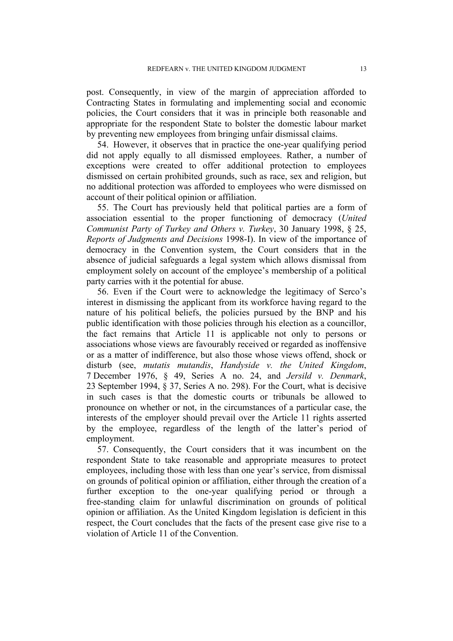post. Consequently, in view of the margin of appreciation afforded to Contracting States in formulating and implementing social and economic policies, the Court considers that it was in principle both reasonable and appropriate for the respondent State to bolster the domestic labour market by preventing new employees from bringing unfair dismissal claims.

54. However, it observes that in practice the one-year qualifying period did not apply equally to all dismissed employees. Rather, a number of exceptions were created to offer additional protection to employees dismissed on certain prohibited grounds, such as race, sex and religion, but no additional protection was afforded to employees who were dismissed on account of their political opinion or affiliation.

55. The Court has previously held that political parties are a form of association essential to the proper functioning of democracy (*United Communist Party of Turkey and Others v. Turkey*, 30 January 1998, § 25, *Reports of Judgments and Decisions* 1998-I). In view of the importance of democracy in the Convention system, the Court considers that in the absence of judicial safeguards a legal system which allows dismissal from employment solely on account of the employee's membership of a political party carries with it the potential for abuse.

56. Even if the Court were to acknowledge the legitimacy of Serco's interest in dismissing the applicant from its workforce having regard to the nature of his political beliefs, the policies pursued by the BNP and his public identification with those policies through his election as a councillor, the fact remains that Article 11 is applicable not only to persons or associations whose views are favourably received or regarded as inoffensive or as a matter of indifference, but also those whose views offend, shock or disturb (see, *mutatis mutandis*, *Handyside v. the United Kingdom*, 7 December 1976, § 49, Series A no. 24, and *Jersild v. Denmark*, 23 September 1994, § 37, Series A no. 298). For the Court, what is decisive in such cases is that the domestic courts or tribunals be allowed to pronounce on whether or not, in the circumstances of a particular case, the interests of the employer should prevail over the Article 11 rights asserted by the employee, regardless of the length of the latter's period of employment.

57. Consequently, the Court considers that it was incumbent on the respondent State to take reasonable and appropriate measures to protect employees, including those with less than one year's service, from dismissal on grounds of political opinion or affiliation, either through the creation of a further exception to the one-year qualifying period or through a free-standing claim for unlawful discrimination on grounds of political opinion or affiliation. As the United Kingdom legislation is deficient in this respect, the Court concludes that the facts of the present case give rise to a violation of Article 11 of the Convention.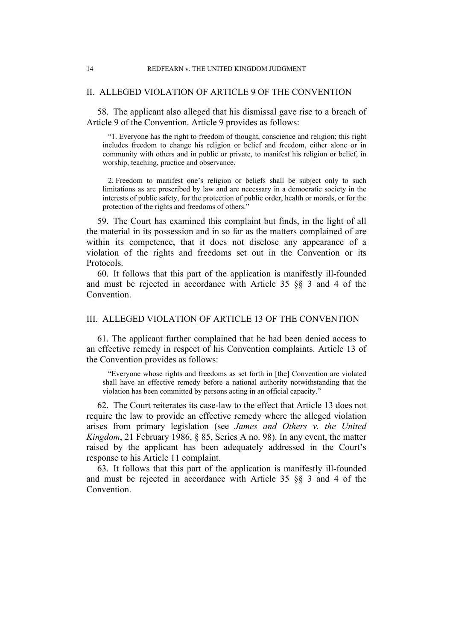#### II. ALLEGED VIOLATION OF ARTICLE 9 OF THE CONVENTION

58. The applicant also alleged that his dismissal gave rise to a breach of Article 9 of the Convention. Article 9 provides as follows:

"1. Everyone has the right to freedom of thought, conscience and religion; this right includes freedom to change his religion or belief and freedom, either alone or in community with others and in public or private, to manifest his religion or belief, in worship, teaching, practice and observance.

2. Freedom to manifest one's religion or beliefs shall be subject only to such limitations as are prescribed by law and are necessary in a democratic society in the interests of public safety, for the protection of public order, health or morals, or for the protection of the rights and freedoms of others."

59. The Court has examined this complaint but finds, in the light of all the material in its possession and in so far as the matters complained of are within its competence, that it does not disclose any appearance of a violation of the rights and freedoms set out in the Convention or its Protocols.

60. It follows that this part of the application is manifestly ill-founded and must be rejected in accordance with Article 35 §§ 3 and 4 of the **Convention** 

#### III. ALLEGED VIOLATION OF ARTICLE 13 OF THE CONVENTION

61. The applicant further complained that he had been denied access to an effective remedy in respect of his Convention complaints. Article 13 of the Convention provides as follows:

"Everyone whose rights and freedoms as set forth in [the] Convention are violated shall have an effective remedy before a national authority notwithstanding that the violation has been committed by persons acting in an official capacity."

62. The Court reiterates its case-law to the effect that Article 13 does not require the law to provide an effective remedy where the alleged violation arises from primary legislation (see *James and Others v. the United Kingdom*, 21 February 1986, § 85, Series A no. 98). In any event, the matter raised by the applicant has been adequately addressed in the Court's response to his Article 11 complaint.

63. It follows that this part of the application is manifestly ill-founded and must be rejected in accordance with Article 35 §§ 3 and 4 of the **Convention**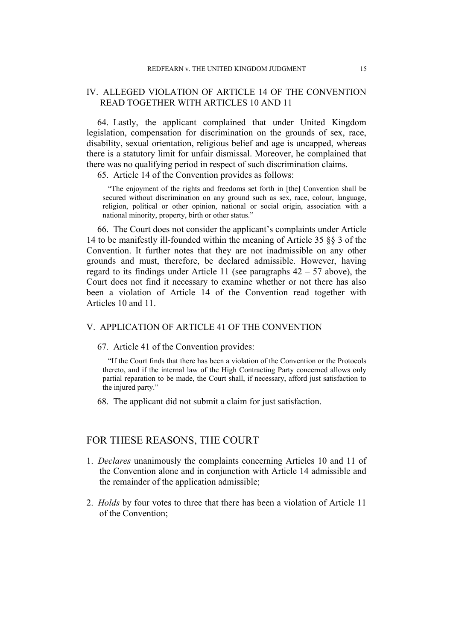#### IV. ALLEGED VIOLATION OF ARTICLE 14 OF THE CONVENTION READ TOGETHER WITH ARTICLES 10 AND 11

64. Lastly, the applicant complained that under United Kingdom legislation, compensation for discrimination on the grounds of sex, race, disability, sexual orientation, religious belief and age is uncapped, whereas there is a statutory limit for unfair dismissal. Moreover, he complained that there was no qualifying period in respect of such discrimination claims.

65. Article 14 of the Convention provides as follows:

"The enjoyment of the rights and freedoms set forth in [the] Convention shall be secured without discrimination on any ground such as sex, race, colour, language, religion, political or other opinion, national or social origin, association with a national minority, property, birth or other status."

66. The Court does not consider the applicant's complaints under Article 14 to be manifestly ill-founded within the meaning of Article 35 §§ 3 of the Convention. It further notes that they are not inadmissible on any other grounds and must, therefore, be declared admissible. However, having regard to its findings under Article 11 (see paragraphs  $42 - 57$  above), the Court does not find it necessary to examine whether or not there has also been a violation of Article 14 of the Convention read together with Articles 10 and 11.

#### V. APPLICATION OF ARTICLE 41 OF THE CONVENTION

#### 67. Article 41 of the Convention provides:

"If the Court finds that there has been a violation of the Convention or the Protocols thereto, and if the internal law of the High Contracting Party concerned allows only partial reparation to be made, the Court shall, if necessary, afford just satisfaction to the injured party."

68. The applicant did not submit a claim for just satisfaction.

#### FOR THESE REASONS, THE COURT

- 1. *Declares* unanimously the complaints concerning Articles 10 and 11 of the Convention alone and in conjunction with Article 14 admissible and the remainder of the application admissible;
- 2. *Holds* by four votes to three that there has been a violation of Article 11 of the Convention;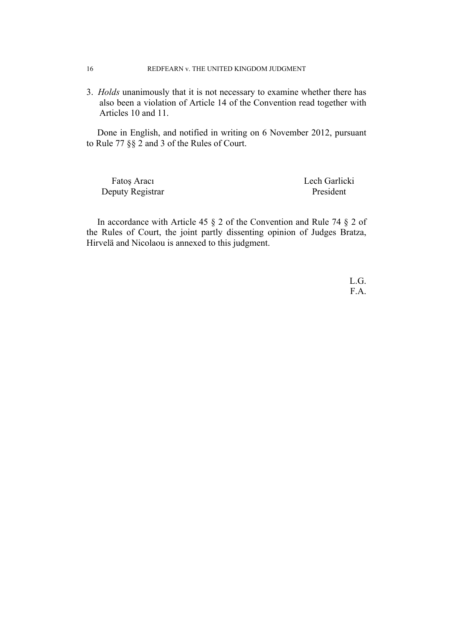3. *Holds* unanimously that it is not necessary to examine whether there has also been a violation of Article 14 of the Convention read together with Articles 10 and 11.

Done in English, and notified in writing on 6 November 2012, pursuant to Rule 77 §§ 2 and 3 of the Rules of Court.

Fatoş Aracı Lech Garlicki Deputy Registrar President

In accordance with Article 45 § 2 of the Convention and Rule 74 § 2 of the Rules of Court, the joint partly dissenting opinion of Judges Bratza, Hirvelä and Nicolaou is annexed to this judgment.

> L.G. F.A.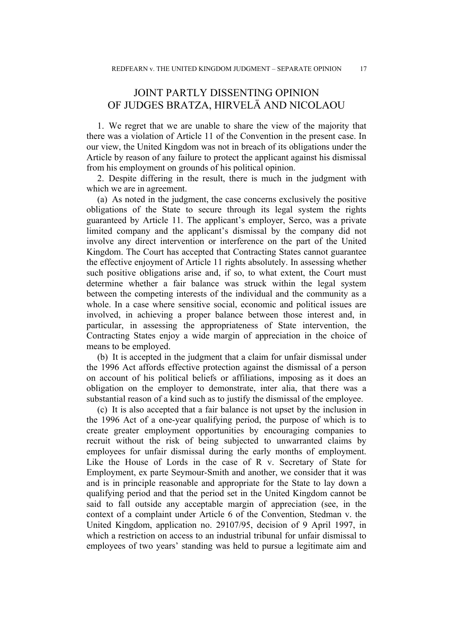## JOINT PARTLY DISSENTING OPINION OF JUDGES BRATZA, HIRVELÄ AND NICOLAOU

1. We regret that we are unable to share the view of the majority that there was a violation of Article 11 of the Convention in the present case. In our view, the United Kingdom was not in breach of its obligations under the Article by reason of any failure to protect the applicant against his dismissal from his employment on grounds of his political opinion.

2. Despite differing in the result, there is much in the judgment with which we are in agreement.

(a) As noted in the judgment, the case concerns exclusively the positive obligations of the State to secure through its legal system the rights guaranteed by Article 11. The applicant's employer, Serco, was a private limited company and the applicant's dismissal by the company did not involve any direct intervention or interference on the part of the United Kingdom. The Court has accepted that Contracting States cannot guarantee the effective enjoyment of Article 11 rights absolutely. In assessing whether such positive obligations arise and, if so, to what extent, the Court must determine whether a fair balance was struck within the legal system between the competing interests of the individual and the community as a whole. In a case where sensitive social, economic and political issues are involved, in achieving a proper balance between those interest and, in particular, in assessing the appropriateness of State intervention, the Contracting States enjoy a wide margin of appreciation in the choice of means to be employed.

(b) It is accepted in the judgment that a claim for unfair dismissal under the 1996 Act affords effective protection against the dismissal of a person on account of his political beliefs or affiliations, imposing as it does an obligation on the employer to demonstrate, inter alia, that there was a substantial reason of a kind such as to justify the dismissal of the employee.

(c) It is also accepted that a fair balance is not upset by the inclusion in the 1996 Act of a one-year qualifying period, the purpose of which is to create greater employment opportunities by encouraging companies to recruit without the risk of being subjected to unwarranted claims by employees for unfair dismissal during the early months of employment. Like the House of Lords in the case of R v. Secretary of State for Employment, ex parte Seymour-Smith and another, we consider that it was and is in principle reasonable and appropriate for the State to lay down a qualifying period and that the period set in the United Kingdom cannot be said to fall outside any acceptable margin of appreciation (see, in the context of a complaint under Article 6 of the Convention, Stedman v. the United Kingdom, application no. 29107/95, decision of 9 April 1997, in which a restriction on access to an industrial tribunal for unfair dismissal to employees of two years' standing was held to pursue a legitimate aim and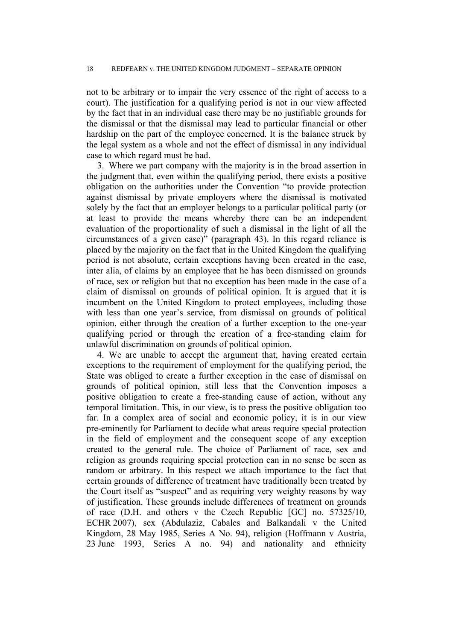not to be arbitrary or to impair the very essence of the right of access to a court). The justification for a qualifying period is not in our view affected by the fact that in an individual case there may be no justifiable grounds for the dismissal or that the dismissal may lead to particular financial or other hardship on the part of the employee concerned. It is the balance struck by the legal system as a whole and not the effect of dismissal in any individual case to which regard must be had.

3. Where we part company with the majority is in the broad assertion in the judgment that, even within the qualifying period, there exists a positive obligation on the authorities under the Convention "to provide protection against dismissal by private employers where the dismissal is motivated solely by the fact that an employer belongs to a particular political party (or at least to provide the means whereby there can be an independent evaluation of the proportionality of such a dismissal in the light of all the circumstances of a given case)" (paragraph 43). In this regard reliance is placed by the majority on the fact that in the United Kingdom the qualifying period is not absolute, certain exceptions having been created in the case, inter alia, of claims by an employee that he has been dismissed on grounds of race, sex or religion but that no exception has been made in the case of a claim of dismissal on grounds of political opinion. It is argued that it is incumbent on the United Kingdom to protect employees, including those with less than one year's service, from dismissal on grounds of political opinion, either through the creation of a further exception to the one-year qualifying period or through the creation of a free-standing claim for unlawful discrimination on grounds of political opinion.

4. We are unable to accept the argument that, having created certain exceptions to the requirement of employment for the qualifying period, the State was obliged to create a further exception in the case of dismissal on grounds of political opinion, still less that the Convention imposes a positive obligation to create a free-standing cause of action, without any temporal limitation. This, in our view, is to press the positive obligation too far. In a complex area of social and economic policy, it is in our view pre-eminently for Parliament to decide what areas require special protection in the field of employment and the consequent scope of any exception created to the general rule. The choice of Parliament of race, sex and religion as grounds requiring special protection can in no sense be seen as random or arbitrary. In this respect we attach importance to the fact that certain grounds of difference of treatment have traditionally been treated by the Court itself as "suspect" and as requiring very weighty reasons by way of justification. These grounds include differences of treatment on grounds of race (D.H. and others v the Czech Republic [GC] no. 57325/10, ECHR 2007), sex (Abdulaziz, Cabales and Balkandali v the United Kingdom, 28 May 1985, Series A No. 94), religion (Hoffmann v Austria, 23 June 1993, Series A no. 94) and nationality and ethnicity